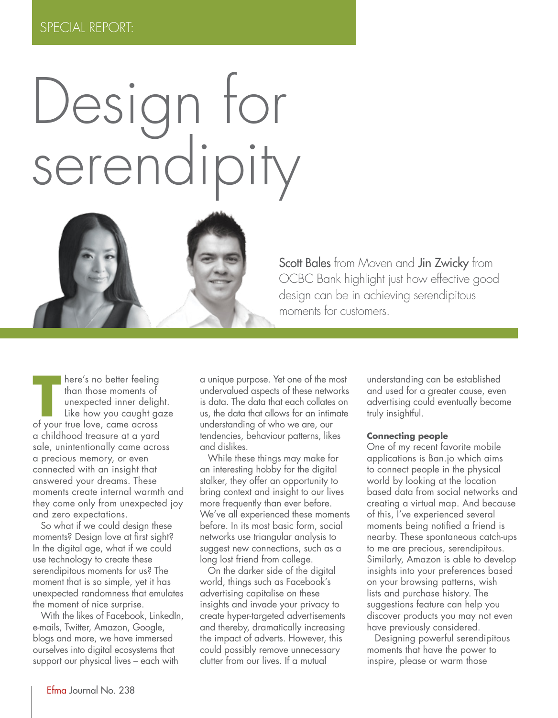

Scott Bales from Moven and Jin Zwicky from OCBC Bank highlight just how effective good design can be in achieving serendipitous moments for customers.

**T** of your true love, came across **here's no better feeling** than those moments of unexpected inner delight. Like how you caught gaze a childhood treasure at a yard sale, unintentionally came across a precious memory, or even connected with an insight that answered your dreams. These moments create internal warmth and they come only from unexpected joy and zero expectations.

So what if we could design these moments? Design love at first sight? In the digital age, what if we could use technology to create these serendipitous moments for us? The moment that is so simple, yet it has unexpected randomness that emulates the moment of nice surprise.

With the likes of Facebook, LinkedIn, e-mails, Twitter, Amazon, Google, blogs and more, we have immersed ourselves into digital ecosystems that support our physical lives – each with

a unique purpose. Yet one of the most undervalued aspects of these networks is data. The data that each collates on us, the data that allows for an intimate understanding of who we are, our tendencies, behaviour patterns, likes and dislikes.

While these things may make for an interesting hobby for the digital stalker, they offer an opportunity to bring context and insight to our lives more frequently than ever before. We've all experienced these moments before. In its most basic form, social networks use triangular analysis to suggest new connections, such as a long lost friend from college.

On the darker side of the digital world, things such as Facebook's advertising capitalise on these insights and invade your privacy to create hyper-targeted advertisements and thereby, dramatically increasing the impact of adverts. However, this could possibly remove unnecessary clutter from our lives. If a mutual

understanding can be established and used for a greater cause, even advertising could eventually become truly insightful.

#### **Connecting people**

One of my recent favorite mobile applications is Ban.jo which aims to connect people in the physical world by looking at the location based data from social networks and creating a virtual map. And because of this, I've experienced several moments being notified a friend is nearby. These spontaneous catch-ups to me are precious, serendipitous. Similarly, Amazon is able to develop insights into your preferences based on your browsing patterns, wish lists and purchase history. The suggestions feature can help you discover products you may not even have previously considered.

Designing powerful serendipitous moments that have the power to inspire, please or warm those